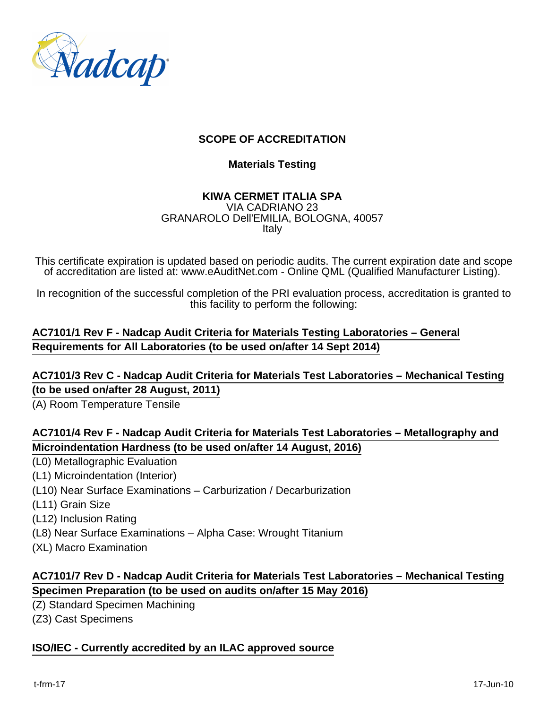

# **SCOPE OF ACCREDITATION**

#### **Materials Testing**

#### **KIWA CERMET ITALIA SPA** VIA CADRIANO 23 GRANAROLO Dell'EMILIA, BOLOGNA, 40057 Italy

This certificate expiration is updated based on periodic audits. The current expiration date and scope of accreditation are listed at: www.eAuditNet.com - Online QML (Qualified Manufacturer Listing).

In recognition of the successful completion of the PRI evaluation process, accreditation is granted to this facility to perform the following:

# **AC7101/1 Rev F - Nadcap Audit Criteria for Materials Testing Laboratories – General Requirements for All Laboratories (to be used on/after 14 Sept 2014)**

### **AC7101/3 Rev C - Nadcap Audit Criteria for Materials Test Laboratories – Mechanical Testing (to be used on/after 28 August, 2011)**

(A) Room Temperature Tensile

# **AC7101/4 Rev F - Nadcap Audit Criteria for Materials Test Laboratories – Metallography and Microindentation Hardness (to be used on/after 14 August, 2016)**

- (L0) Metallographic Evaluation
- (L1) Microindentation (Interior)
- (L10) Near Surface Examinations Carburization / Decarburization
- (L11) Grain Size
- (L12) Inclusion Rating
- (L8) Near Surface Examinations Alpha Case: Wrought Titanium
- (XL) Macro Examination

### **AC7101/7 Rev D - Nadcap Audit Criteria for Materials Test Laboratories – Mechanical Testing Specimen Preparation (to be used on audits on/after 15 May 2016)**

- (Z) Standard Specimen Machining
- (Z3) Cast Specimens

### **ISO/IEC - Currently accredited by an ILAC approved source**